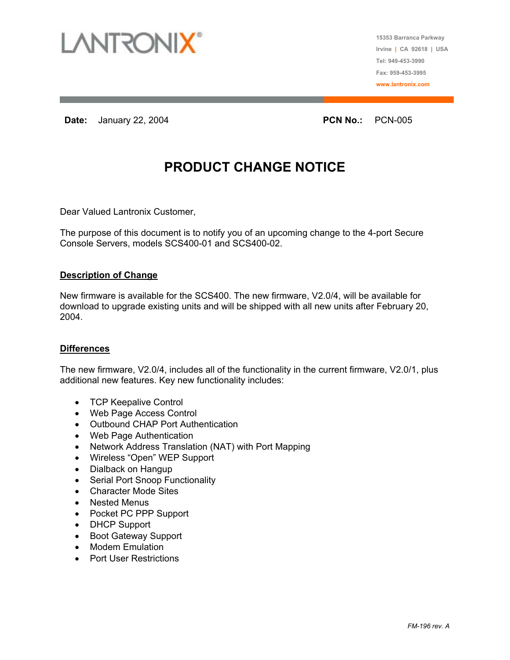

**15353 Barranca Parkway Irvine | CA 92618 | USA Tel: 949-453-3990 Fax: 959-453-3995 www.lantronix.com**

**Date:** January 22, 2004 **PCN No.:**  PCN No.: **PCN-005** 

## **PRODUCT CHANGE NOTICE**

Dear Valued Lantronix Customer,

The purpose of this document is to notify you of an upcoming change to the 4-port Secure Console Servers, models SCS400-01 and SCS400-02.

## **Description of Change**

New firmware is available for the SCS400. The new firmware, V2.0/4, will be available for download to upgrade existing units and will be shipped with all new units after February 20, 2004.

## **Differences**

The new firmware, V2.0/4, includes all of the functionality in the current firmware, V2.0/1, plus additional new features. Key new functionality includes:

- TCP Keepalive Control
- Web Page Access Control
- Outbound CHAP Port Authentication
- Web Page Authentication
- Network Address Translation (NAT) with Port Mapping
- Wireless "Open" WEP Support
- Dialback on Hangup
- Serial Port Snoop Functionality
- Character Mode Sites
- Nested Menus
- Pocket PC PPP Support
- DHCP Support
- Boot Gateway Support
- Modem Emulation
- Port User Restrictions